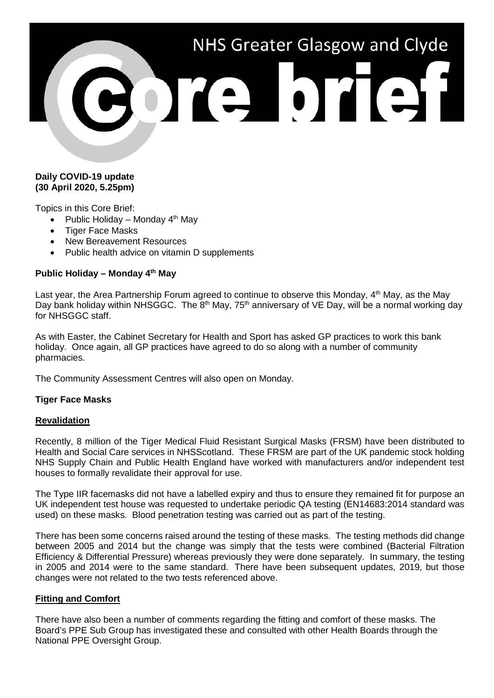# NHS Greater Glasgow and Clyde 3073 9731

## **Daily COVID-19 update (30 April 2020, 5.25pm)**

Topics in this Core Brief:

- Public Holiday Monday  $4<sup>th</sup>$  May
- Tiger Face Masks
- New Bereavement Resources
- Public health advice on vitamin D supplements

# **Public Holiday – Monday 4th May**

Last year, the Area Partnership Forum agreed to continue to observe this Monday, 4<sup>th</sup> May, as the May Day bank holiday within NHSGGC. The 8<sup>th</sup> May, 75<sup>th</sup> anniversary of VE Day, will be a normal working day for NHSGGC staff.

As with Easter, the Cabinet Secretary for Health and Sport has asked GP practices to work this bank holiday. Once again, all GP practices have agreed to do so along with a number of community pharmacies.

The Community Assessment Centres will also open on Monday.

### **Tiger Face Masks**

### **Revalidation**

Recently, 8 million of the Tiger Medical Fluid Resistant Surgical Masks (FRSM) have been distributed to Health and Social Care services in NHSScotland. These FRSM are part of the UK pandemic stock holding NHS Supply Chain and Public Health England have worked with manufacturers and/or independent test houses to formally revalidate their approval for use.

The Type IIR facemasks did not have a labelled expiry and thus to ensure they remained fit for purpose an UK independent test house was requested to undertake periodic QA testing (EN14683:2014 standard was used) on these masks. Blood penetration testing was carried out as part of the testing.

There has been some concerns raised around the testing of these masks. The testing methods did change between 2005 and 2014 but the change was simply that the tests were combined (Bacterial Filtration Efficiency & Differential Pressure) whereas previously they were done separately. In summary, the testing in 2005 and 2014 were to the same standard. There have been subsequent updates, 2019, but those changes were not related to the two tests referenced above.

### **Fitting and Comfort**

There have also been a number of comments regarding the fitting and comfort of these masks. The Board's PPE Sub Group has investigated these and consulted with other Health Boards through the National PPE Oversight Group.